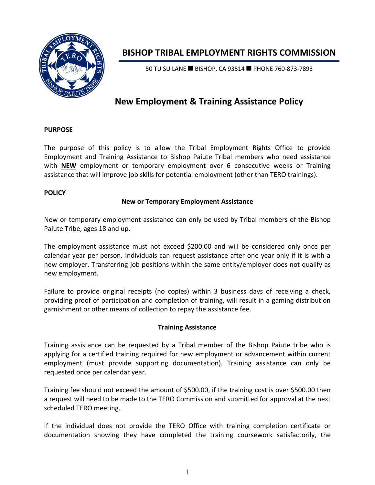

# **BISHOP TRIBAL EMPLOYMENT RIGHTS COMMISSION**

50 TU SU LANE ■ BISHOP, CA 93514 ■ PHONE 760-873-7893

## **New Employment & Training Assistance Policy**

#### **PURPOSE**

The purpose of this policy is to allow the Tribal Employment Rights Office to provide Employment and Training Assistance to Bishop Paiute Tribal members who need assistance with **NEW** employment or temporary employment over 6 consecutive weeks or Training assistance that will improve job skills for potential employment (other than TERO trainings).

#### **POLICY**

### **New or Temporary Employment Assistance**

New or temporary employment assistance can only be used by Tribal members of the Bishop Paiute Tribe, ages 18 and up.

The employment assistance must not exceed \$200.00 and will be considered only once per calendar year per person. Individuals can request assistance after one year only if it is with a new employer. Transferring job positions within the same entity/employer does not qualify as new employment.

Failure to provide original receipts (no copies) within 3 business days of receiving a check, providing proof of participation and completion of training, will result in a gaming distribution garnishment or other means of collection to repay the assistance fee.

### **Training Assistance**

Training assistance can be requested by a Tribal member of the Bishop Paiute tribe who is applying for a certified training required for new employment or advancement within current employment (must provide supporting documentation). Training assistance can only be requested once per calendar year.

Training fee should not exceed the amount of \$500.00, if the training cost is over \$500.00 then a request will need to be made to the TERO Commission and submitted for approval at the next scheduled TERO meeting.

If the individual does not provide the TERO Office with training completion certificate or documentation showing they have completed the training coursework satisfactorily, the